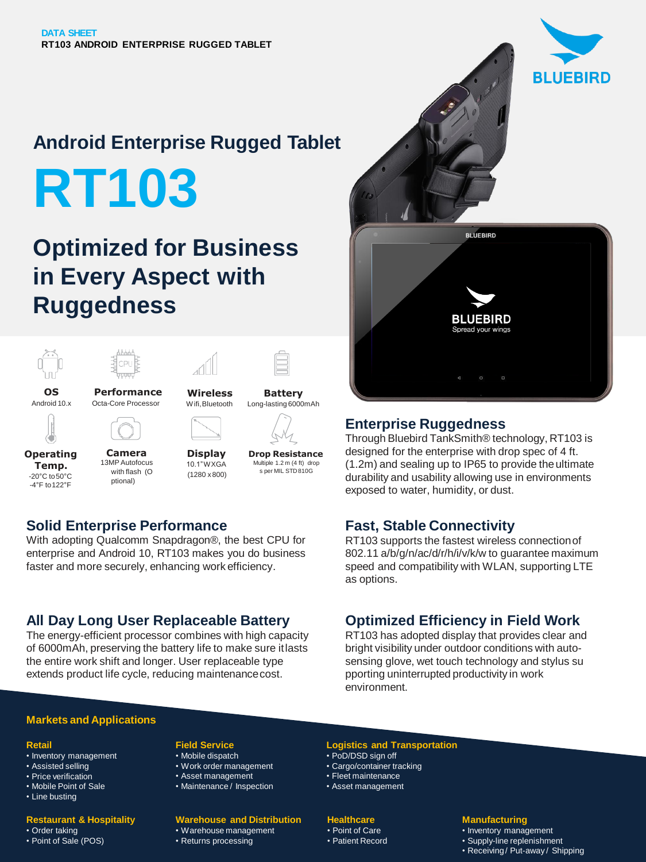# **Android Enterprise Rugged Tablet RT103**

# **Optimized for Business in Every Aspect with Ruggedness**



**Operating Temp.** -20°C to50°C -4°F to122°F

#### **Camera** 13MP Autofocus with flash (O ptional)

**Display** 10.1"WXGA (1280 x 800)

**Drop Resistance** Multiple 1.2 m (4 ft) drop s per MIL STD810G

# **Solid Enterprise Performance**

With adopting Qualcomm Snapdragon®, the best CPU for enterprise and Android 10, RT103 makes you do business faster and more securely, enhancing work efficiency.

## **All Day Long User Replaceable Battery**

The energy-efficient processor combines with high capacity of 6000mAh, preserving the battery life to make sure itlasts the entire work shift and longer. User replaceable type extends product life cycle, reducing maintenancecost.



# **Enterprise Ruggedness**

Through Bluebird TankSmith® technology, RT103 is designed for the enterprise with drop spec of 4 ft. (1.2m) and sealing up to IP65 to provide theultimate durability and usability allowing use in environments exposed to water, humidity, or dust.

# **Fast, Stable Connectivity**

RT103 supports the fastest wireless connectionof 802.11 a/b/g/n/ac/d/r/h/i/v/k/w to guarantee maximum speed and compatibility with WLAN, supporting LTE as options.

# **Optimized Efficiency in Field Work**

RT103 has adopted display that provides clear and bright visibility under outdoor conditions with autosensing glove, wet touch technology and stylus su pporting uninterrupted productivity in work environment.

#### **Markets and Applications**

#### **Retail**

- Inventory management
- Assisted selling
- Price verification • Mobile Point of Sale
- Line busting

#### **Restaurant & Hospitality**

• Order taking • Point of Sale (POS)

## **Field Service**

- Mobile dispatch
- Work order management
- Asset management
- Maintenance / Inspection

#### **Warehouse and Distribution** • Warehouse management

• Returns processing

#### **Logistics and Transportation**

- PoD/DSD sign off
- Cargo/container tracking
- Fleet maintenance
- Asset management

#### **Healthcare**

• Point of Care • Patient Record

#### **Manufacturing**

- Inventory management
- Supply-line replenishment
- Receiving / Put-away / Shipping